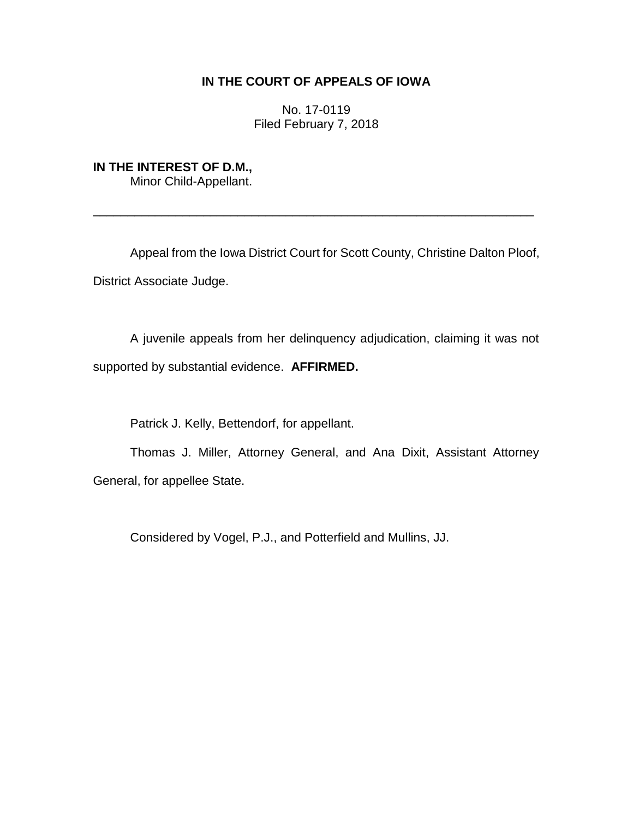## **IN THE COURT OF APPEALS OF IOWA**

No. 17-0119 Filed February 7, 2018

## **IN THE INTEREST OF D.M.,**

Minor Child-Appellant.

Appeal from the Iowa District Court for Scott County, Christine Dalton Ploof, District Associate Judge.

\_\_\_\_\_\_\_\_\_\_\_\_\_\_\_\_\_\_\_\_\_\_\_\_\_\_\_\_\_\_\_\_\_\_\_\_\_\_\_\_\_\_\_\_\_\_\_\_\_\_\_\_\_\_\_\_\_\_\_\_\_\_\_\_

A juvenile appeals from her delinquency adjudication, claiming it was not supported by substantial evidence. **AFFIRMED.**

Patrick J. Kelly, Bettendorf, for appellant.

Thomas J. Miller, Attorney General, and Ana Dixit, Assistant Attorney General, for appellee State.

Considered by Vogel, P.J., and Potterfield and Mullins, JJ.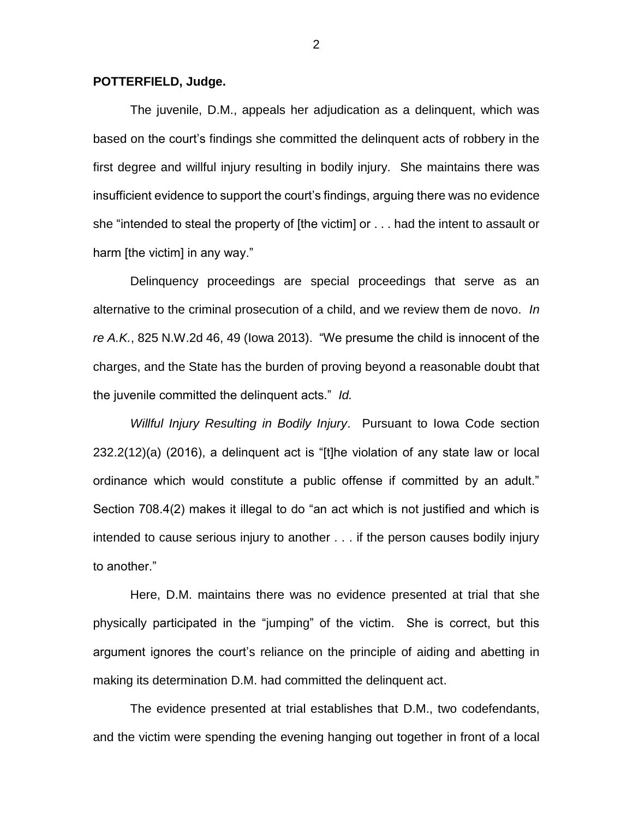## **POTTERFIELD, Judge.**

The juvenile, D.M., appeals her adjudication as a delinquent, which was based on the court's findings she committed the delinquent acts of robbery in the first degree and willful injury resulting in bodily injury. She maintains there was insufficient evidence to support the court's findings, arguing there was no evidence she "intended to steal the property of [the victim] or . . . had the intent to assault or harm [the victim] in any way."

Delinquency proceedings are special proceedings that serve as an alternative to the criminal prosecution of a child, and we review them de novo. *In re A.K.*, 825 N.W.2d 46, 49 (Iowa 2013). "We presume the child is innocent of the charges, and the State has the burden of proving beyond a reasonable doubt that the juvenile committed the delinquent acts." *Id.*

*Willful Injury Resulting in Bodily Injury*. Pursuant to Iowa Code section 232.2(12)(a) (2016), a delinquent act is "[t]he violation of any state law or local ordinance which would constitute a public offense if committed by an adult." Section 708.4(2) makes it illegal to do "an act which is not justified and which is intended to cause serious injury to another . . . if the person causes bodily injury to another."

Here, D.M. maintains there was no evidence presented at trial that she physically participated in the "jumping" of the victim. She is correct, but this argument ignores the court's reliance on the principle of aiding and abetting in making its determination D.M. had committed the delinquent act.

The evidence presented at trial establishes that D.M., two codefendants, and the victim were spending the evening hanging out together in front of a local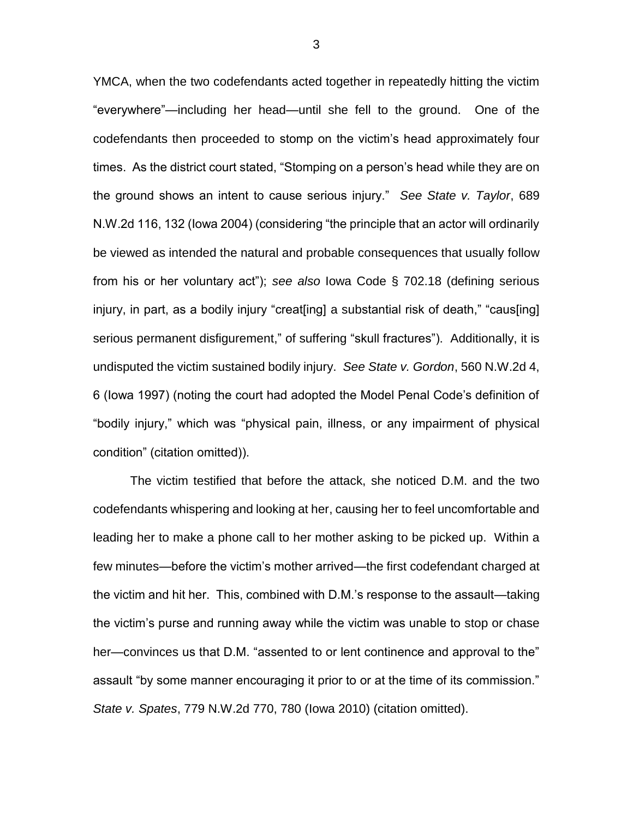YMCA, when the two codefendants acted together in repeatedly hitting the victim "everywhere"—including her head—until she fell to the ground. One of the codefendants then proceeded to stomp on the victim's head approximately four times. As the district court stated, "Stomping on a person's head while they are on the ground shows an intent to cause serious injury." *See State v. Taylor*, 689 N.W.2d 116, 132 (Iowa 2004) (considering "the principle that an actor will ordinarily be viewed as intended the natural and probable consequences that usually follow from his or her voluntary act"); *see also* Iowa Code § 702.18 (defining serious injury, in part, as a bodily injury "creat[ing] a substantial risk of death," "caus[ing] serious permanent disfigurement," of suffering "skull fractures"). Additionally, it is undisputed the victim sustained bodily injury. *See State v. Gordon*, 560 N.W.2d 4, 6 (Iowa 1997) (noting the court had adopted the Model Penal Code's definition of "bodily injury," which was "physical pain, illness, or any impairment of physical condition" (citation omitted)).

The victim testified that before the attack, she noticed D.M. and the two codefendants whispering and looking at her, causing her to feel uncomfortable and leading her to make a phone call to her mother asking to be picked up. Within a few minutes—before the victim's mother arrived—the first codefendant charged at the victim and hit her. This, combined with D.M.'s response to the assault—taking the victim's purse and running away while the victim was unable to stop or chase her—convinces us that D.M. "assented to or lent continence and approval to the" assault "by some manner encouraging it prior to or at the time of its commission." *State v. Spates*, 779 N.W.2d 770, 780 (Iowa 2010) (citation omitted).

3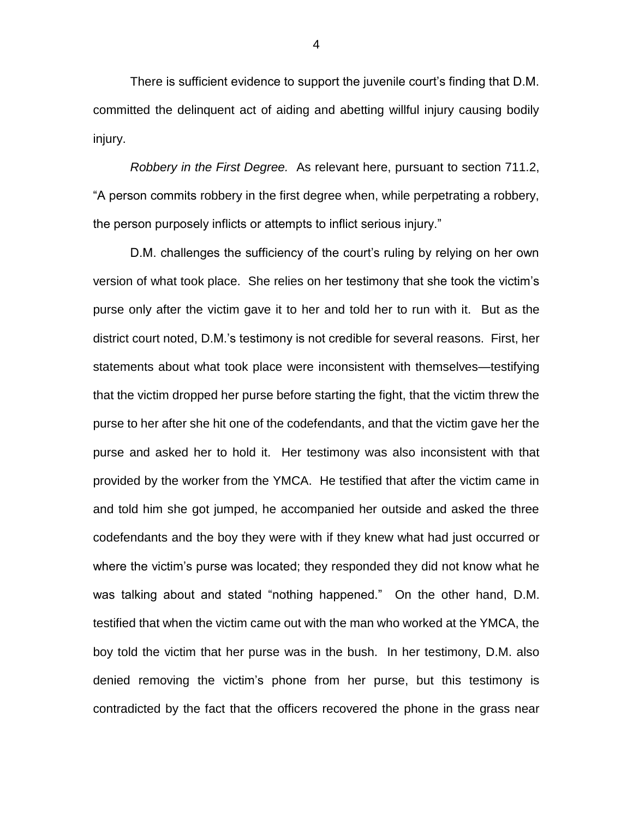There is sufficient evidence to support the juvenile court's finding that D.M. committed the delinquent act of aiding and abetting willful injury causing bodily injury.

*Robbery in the First Degree.* As relevant here, pursuant to section 711.2, "A person commits robbery in the first degree when, while perpetrating a robbery, the person purposely inflicts or attempts to inflict serious injury."

D.M. challenges the sufficiency of the court's ruling by relying on her own version of what took place. She relies on her testimony that she took the victim's purse only after the victim gave it to her and told her to run with it. But as the district court noted, D.M.'s testimony is not credible for several reasons. First, her statements about what took place were inconsistent with themselves—testifying that the victim dropped her purse before starting the fight, that the victim threw the purse to her after she hit one of the codefendants, and that the victim gave her the purse and asked her to hold it. Her testimony was also inconsistent with that provided by the worker from the YMCA. He testified that after the victim came in and told him she got jumped, he accompanied her outside and asked the three codefendants and the boy they were with if they knew what had just occurred or where the victim's purse was located; they responded they did not know what he was talking about and stated "nothing happened." On the other hand, D.M. testified that when the victim came out with the man who worked at the YMCA, the boy told the victim that her purse was in the bush. In her testimony, D.M. also denied removing the victim's phone from her purse, but this testimony is contradicted by the fact that the officers recovered the phone in the grass near